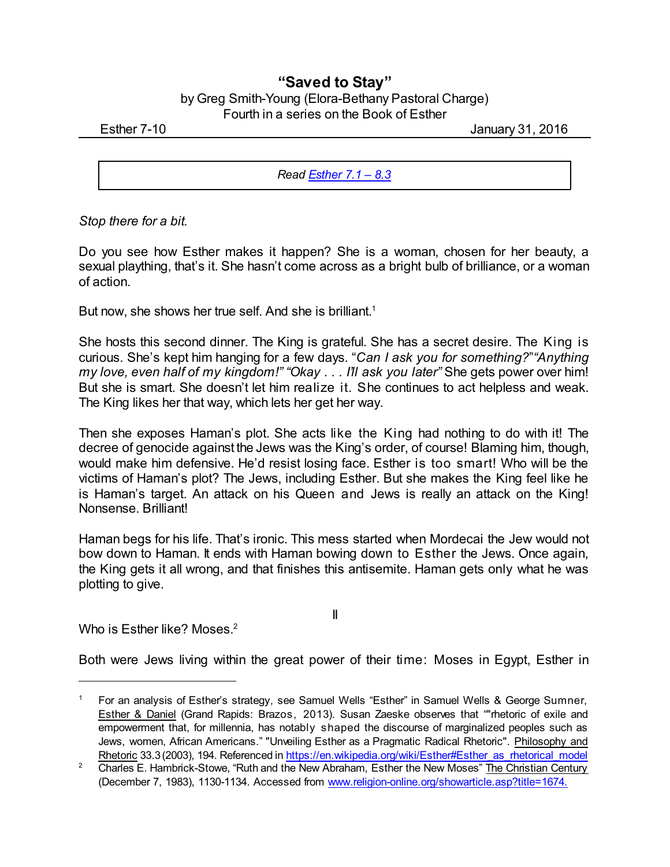## **"Saved to Stay"**

| by Greg Smith-Young (Elora-Bethany Pastoral Charge) |
|-----------------------------------------------------|
| Fourth in a series on the Book of Esther            |

Esther 7-10 January 31, 2016

*Read [Esther](https://www.biblegateway.com/passage/?search=Esther+7.1-8.3&version=CEB) 7.1 – 8.3*

*Stop there for a bit.*

Do you see how Esther makes it happen? She is a woman, chosen for her beauty, a sexual plaything, that's it. She hasn't come across as a bright bulb of brilliance, or a woman of action.

But now, she shows her true self. And she is brilliant.<sup>1</sup>

She hosts this second dinner. The King is grateful. She has a secret desire. The King is curious. She's kept him hanging for a few days. "*Can I ask you for something?*"*"Anything my love, even half of my kingdom!" "Okay . . . I'll ask you later"* She gets power over him! But she is smart. She doesn't let him realize it. She continues to act helpless and weak. The King likes her that way, which lets her get her way.

Then she exposes Haman's plot. She acts like the King had nothing to do with it! The decree of genocide against the Jews was the King's order, of course! Blaming him, though, would make him defensive. He'd resist losing face. Esther is too smart! Who will be the victims of Haman's plot? The Jews, including Esther. But she makes the King feel like he is Haman's target. An attack on his Queen and Jews is really an attack on the King! Nonsense. Brilliant!

Haman begs for his life. That's ironic. This mess started when Mordecai the Jew would not bow down to Haman. It ends with Haman bowing down to Esther the Jews. Once again, the King gets it all wrong, and that finishes this antisemite. Haman gets only what he was plotting to give.

Who is Esther like? Moses.<sup>2</sup>

II

Both were Jews living within the great power of their time: Moses in Egypt, Esther in

<sup>1</sup> For an analysis of Esther's strategy, see Samuel Wells "Esther" in Samuel Wells & George Sumner, Esther & Daniel (Grand Rapids: Brazos, 2013). Susan Zaeske observes that ""rhetoric of exile and empowerment that, for millennia, has notably shaped the discourse of marginalized peoples such as Jews, women, African Americans." "Unveiling Esther as a Pragmatic Radical Rhetoric". Philosophy and Rhetoric 33.3 (2003), 194. Referenced in [https://en.wikipedia.org/wiki/Esther#Esther\\_as\\_rhetorical\\_model](https://en.wikipedia.org/wiki/Esther#Esther_as_rhetorical_model)

<sup>&</sup>lt;sup>2</sup> Charles E. Hambrick-Stowe, "Ruth and the New Abraham, Esther the New Moses" The Christian Century (December 7, 1983), 1130-1134. Accessed from [www.religion-online.org/showarticle.asp?title=1674.](http://www.religion-online.org/showarticle.asp?title=1674.)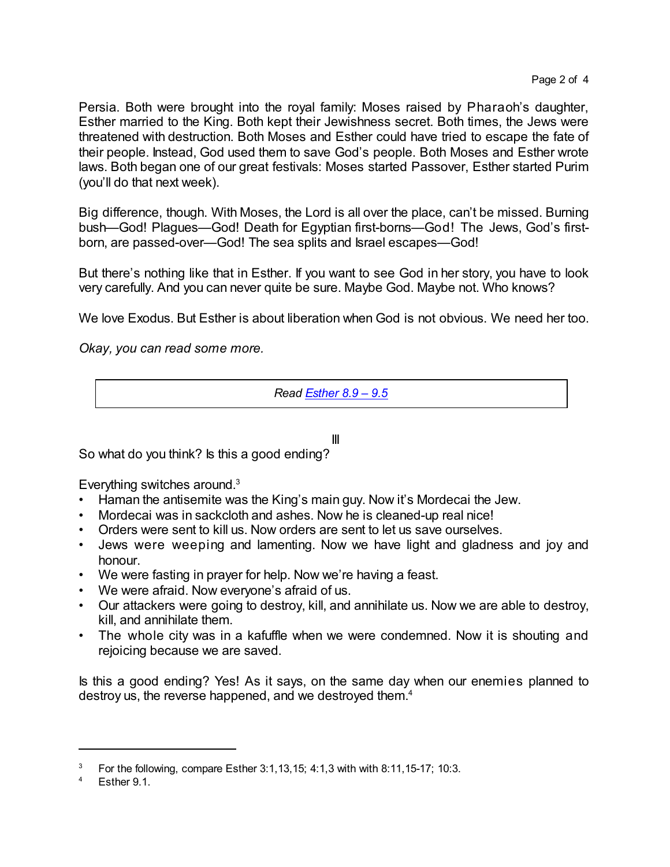Persia. Both were brought into the royal family: Moses raised by Pharaoh's daughter, Esther married to the King. Both kept their Jewishness secret. Both times, the Jews were threatened with destruction. Both Moses and Esther could have tried to escape the fate of their people. Instead, God used them to save God's people. Both Moses and Esther wrote laws. Both began one of our great festivals: Moses started Passover, Esther started Purim (you'll do that next week).

Big difference, though. With Moses, the Lord is all over the place, can't be missed. Burning bush—God! Plagues—God! Death for Egyptian first-borns—God! The Jews, God's firstborn, are passed-over—God! The sea splits and Israel escapes—God!

But there's nothing like that in Esther. If you want to see God in her story, you have to look very carefully. And you can never quite be sure. Maybe God. Maybe not. Who knows?

We love Exodus. But Esther is about liberation when God is not obvious. We need her too.

*Okay, you can read some more.*

*Read [Esther](https://www.biblegateway.com/passage/?search=Esther+8.9-9.5&version=CEB) 8.9 – 9.5*

III

So what do you think? Is this a good ending?

Everything switches around.<sup>3</sup>

- Haman the antisemite was the King's main guy. Now it's Mordecai the Jew.
- Mordecai was in sackcloth and ashes. Now he is cleaned-up real nice!
- Orders were sent to kill us. Now orders are sent to let us save ourselves.
- Jews were weeping and lamenting. Now we have light and gladness and joy and honour.
- We were fasting in prayer for help. Now we're having a feast.
- We were afraid. Now everyone's afraid of us.
- Our attackers were going to destroy, kill, and annihilate us. Now we are able to destroy, kill, and annihilate them.
- The whole city was in a kafuffle when we were condemned. Now it is shouting and rejoicing because we are saved.

Is this a good ending? Yes! As it says, on the same day when our enemies planned to destroy us, the reverse happened, and we destroyed them.<sup>4</sup>

<sup>3</sup> For the following, compare Esther 3:1,13,15; 4:1,3 with with 8:11,15-17; 10:3.

Esther 9.1.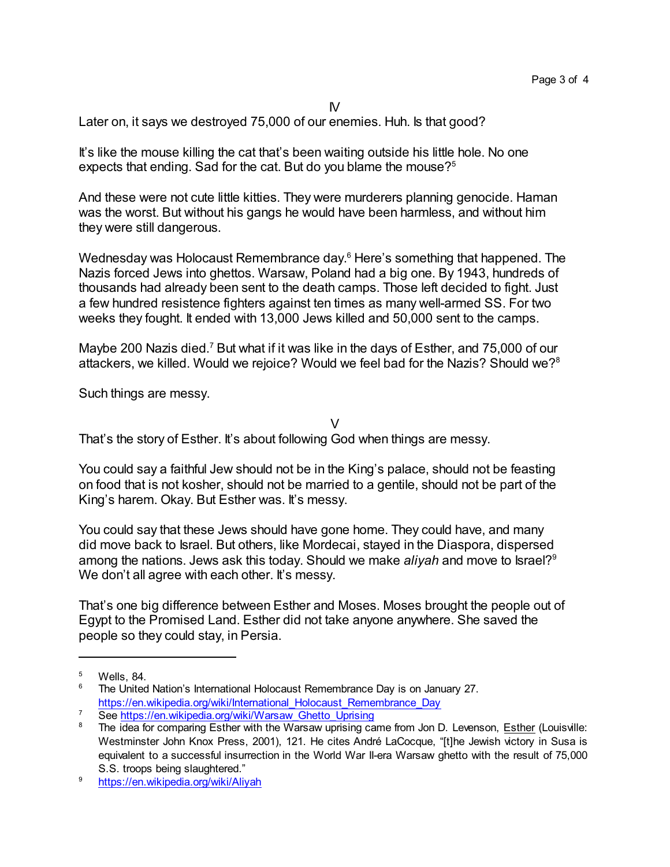IV

Later on, it says we destroyed 75,000 of our enemies. Huh. Is that good?

It's like the mouse killing the cat that's been waiting outside his little hole. No one expects that ending. Sad for the cat. But do you blame the mouse?<sup>5</sup>

And these were not cute little kitties. They were murderers planning genocide. Haman was the worst. But without his gangs he would have been harmless, and without him they were still dangerous.

Wednesday was Holocaust Remembrance day. <sup>6</sup> Here's something that happened. The Nazis forced Jews into ghettos. Warsaw, Poland had a big one. By 1943, hundreds of thousands had already been sent to the death camps. Those left decided to fight. Just a few hundred resistence fighters against ten times as many well-armed SS. For two weeks they fought. It ended with 13,000 Jews killed and 50,000 sent to the camps.

Maybe 200 Nazis died.<sup>7</sup> But what if it was like in the days of Esther, and 75,000 of our attackers, we killed. Would we rejoice? Would we feel bad for the Nazis? Should we?<sup>8</sup>

Such things are messy.

 $\vee$ 

That's the story of Esther. It's about following God when things are messy.

You could say a faithful Jew should not be in the King's palace, should not be feasting on food that is not kosher, should not be married to a gentile, should not be part of the King's harem. Okay. But Esther was. It's messy.

You could say that these Jews should have gone home. They could have, and many did move back to Israel. But others, like Mordecai, stayed in the Diaspora, dispersed among the nations. Jews ask this today. Should we make ali*yah* and move to Israel?<sup>9</sup> We don't all agree with each other. It's messy.

That's one big difference between Esther and Moses. Moses brought the people out of Egypt to the Promised Land. Esther did not take anyone anywhere. She saved the people so they could stay, in Persia.

 $5$  Wells, 84.

<sup>6</sup> The United Nation's International Holocaust Remembrance Day is on January 27. [https://en.wikipedia.org/wiki/International\\_Holocaust\\_Remembrance\\_Day](https://en.wikipedia.org/wiki/International_Holocaust_Remembrance_Day)

<sup>7</sup> See [https://en.wikipedia.org/wiki/Warsaw\\_Ghetto\\_Uprising](https://en.wikipedia.org/wiki/Warsaw_Ghetto_Uprising)

The idea for comparing Esther with the Warsaw uprising came from Jon D. Levenson, *Esther (Louisville:* Westminster John Knox Press, 2001), 121. He cites André LaCocque, "[t]he Jewish victory in Susa is equivalent to a successful insurrection in the World War II-era Warsaw ghetto with the result of 75,000 S.S. troops being slaughtered."

<sup>9</sup> <https://en.wikipedia.org/wiki/Aliyah>